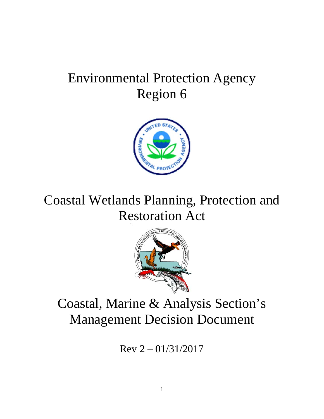# Environmental Protection Agency Region 6



Coastal Wetlands Planning, Protection and Restoration Act



# Coastal, Marine & Analysis Section's Management Decision Document

 $Rev 2 - 01/31/2017$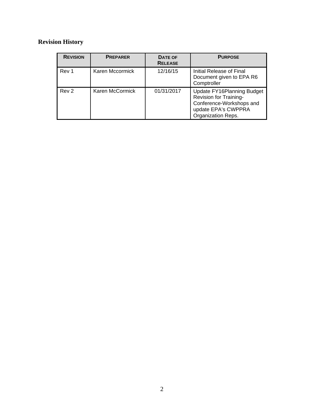## **Revision History**

| <b>REVISION</b>  | <b>PREPARER</b> | DATE OF<br><b>RELEASE</b> | <b>PURPOSE</b>                                                                                                                       |
|------------------|-----------------|---------------------------|--------------------------------------------------------------------------------------------------------------------------------------|
| Rev 1            | Karen Mccormick | 12/16/15                  | Initial Release of Final<br>Document given to EPA R6<br>Comptroller                                                                  |
| Rev <sub>2</sub> | Karen McCormick | 01/31/2017                | Update FY16Planning Budget<br><b>Revision for Training-</b><br>Conference-Workshops and<br>update EPA's CWPPRA<br>Organization Reps. |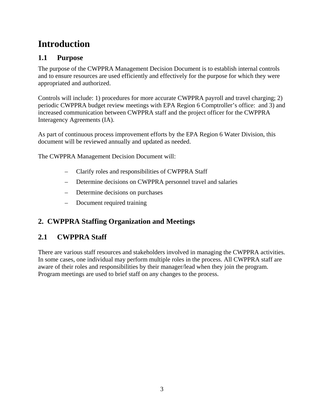# **Introduction**

## **1.1 Purpose**

The purpose of the CWPPRA Management Decision Document is to establish internal controls and to ensure resources are used efficiently and effectively for the purpose for which they were appropriated and authorized.

Controls will include: 1) procedures for more accurate CWPPRA payroll and travel charging; 2) periodic CWPPRA budget review meetings with EPA Region 6 Comptroller's office: and 3) and increased communication between CWPPRA staff and the project officer for the CWPPRA Interagency Agreements (IA).

As part of continuous process improvement efforts by the EPA Region 6 Water Division, this document will be reviewed annually and updated as needed.

The CWPPRA Management Decision Document will:

- Clarify roles and responsibilities of CWPPRA Staff
- Determine decisions on CWPPRA personnel travel and salaries
- Determine decisions on purchases
- Document required training

# **2. CWPPRA Staffing Organization and Meetings**

# **2.1 CWPPRA Staff**

There are various staff resources and stakeholders involved in managing the CWPPRA activities. In some cases, one individual may perform multiple roles in the process. All CWPPRA staff are aware of their roles and responsibilities by their manager/lead when they join the program. Program meetings are used to brief staff on any changes to the process.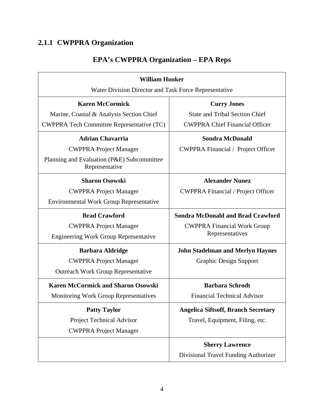# **2.1.1 CWPPRA Organization**

| <b>William Honker</b>                                        |                                            |  |  |  |
|--------------------------------------------------------------|--------------------------------------------|--|--|--|
| Water Division Director and Task Force Representative        |                                            |  |  |  |
| <b>Karen McCormick</b>                                       | <b>Curry Jones</b>                         |  |  |  |
| Marine, Coastal & Analysis Section Chief                     | <b>State and Tribal Section Chief</b>      |  |  |  |
| <b>CWPPRA Tech Committee Representative (TC)</b>             | <b>CWPPRA Chief Financial Officer</b>      |  |  |  |
| <b>Adrian Chavarria</b>                                      | <b>Sondra McDonald</b>                     |  |  |  |
| <b>CWPPRA Project Manager</b>                                | <b>CWPPRA Financial / Project Officer</b>  |  |  |  |
| Planning and Evaluation (P&E) Subcommittee<br>Representative |                                            |  |  |  |
| <b>Sharon Osowski</b>                                        | <b>Alexander Nunez</b>                     |  |  |  |
| <b>CWPPRA Project Manager</b>                                | <b>CWPPRA Financial / Project Officer</b>  |  |  |  |
| <b>Environmental Work Group Representative</b>               |                                            |  |  |  |
| <b>Brad Crawford</b>                                         | <b>Sondra McDonald and Brad Crawford</b>   |  |  |  |
| <b>CWPPRA Project Manager</b>                                | <b>CWPPRA Financial Work Group</b>         |  |  |  |
| <b>Engineering Work Group Representative</b>                 | Representatives                            |  |  |  |
| <b>Barbara Aldridge</b>                                      | <b>John Stadelman and Merlyn Haynes</b>    |  |  |  |
| <b>CWPPRA Project Manager</b>                                | <b>Graphic Design Support</b>              |  |  |  |
| <b>Outreach Work Group Representative</b>                    |                                            |  |  |  |
| <b>Karen McCormick and Sharon Osowski</b>                    | <b>Barbara Schrodt</b>                     |  |  |  |
| <b>Monitoring Work Group Representatives</b>                 | <b>Financial Technical Advisor</b>         |  |  |  |
| <b>Patty Taylor</b>                                          | <b>Angelica Siftsoff, Branch Secretary</b> |  |  |  |
| Project Technical Advisor                                    | Travel, Equipment, Filing, etc.            |  |  |  |
| <b>CWPPRA Project Manager</b>                                |                                            |  |  |  |
|                                                              | <b>Sherry Lawrence</b>                     |  |  |  |
|                                                              | Divisional Travel Funding Authorizer       |  |  |  |

# **EPA's CWPPRA Organization – EPA Reps**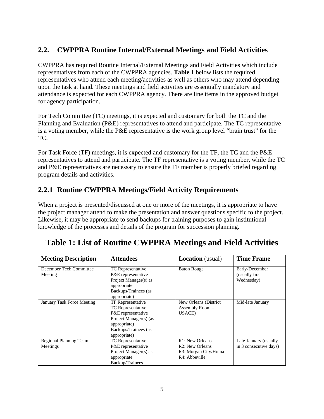## **2.2. CWPPRA Routine Internal/External Meetings and Field Activities**

CWPPRA has required Routine Internal/External Meetings and Field Activities which include representatives from each of the CWPPRA agencies. **Table 1** below lists the required representatives who attend each meeting/activities as well as others who may attend depending upon the task at hand. These meetings and field activities are essentially mandatory and attendance is expected for each CWPPRA agency. There are line items in the approved budget for agency participation.

For Tech Committee (TC) meetings, it is expected and customary for both the TC and the Planning and Evaluation (P&E) representatives to attend and participate. The TC representative is a voting member, while the P&E representative is the work group level "brain trust" for the TC.

For Task Force (TF) meetings, it is expected and customary for the TF, the TC and the P&E representatives to attend and participate. The TF representative is a voting member, while the TC and P&E representatives are necessary to ensure the TF member is properly briefed regarding program details and activities.

## **2.2.1 Routine CWPPRA Meetings/Field Activity Requirements**

When a project is presented/discussed at one or more of the meetings, it is appropriate to have the project manager attend to make the presentation and answer questions specific to the project. Likewise, it may be appropriate to send backups for training purposes to gain institutional knowledge of the processes and details of the program for succession planning.

| <b>Meeting Description</b> | <b>Attendees</b>         | <b>Location</b> (usual)      | <b>Time Frame</b>      |
|----------------------------|--------------------------|------------------------------|------------------------|
| December Tech Committee    | TC Representative        | <b>Baton Rouge</b>           | Early-December         |
| Meeting                    | P&E representative       |                              | (usually first)        |
|                            | Project Manager(s) as    |                              | Wednesday)             |
|                            | appropriate              |                              |                        |
|                            | Backups/Trainees (as     |                              |                        |
|                            | appropriate)             |                              |                        |
| January Task Force Meeting | <b>TF</b> Representative | New Orleans (District        | Mid-late January       |
|                            | TC Representative        | Assembly Room -              |                        |
|                            | P&E representative       | USACE)                       |                        |
|                            | Project Manager(s) (as   |                              |                        |
|                            | appropriate)             |                              |                        |
|                            | Backups/Trainees (as     |                              |                        |
|                            | appropriate)             |                              |                        |
| Regional Planning Team     | TC Representative        | R1: New Orleans              | Late-January (usually  |
| Meetings                   | P&E representative       | R <sub>2</sub> : New Orleans | in 3 consecutive days) |
|                            | Project Manager(s) as    | R3: Morgan City/Homa         |                        |
|                            | appropriate              | R4: Abbeville                |                        |
|                            | Backup/Trainees          |                              |                        |

# **Table 1: List of Routine CWPPRA Meetings and Field Activities**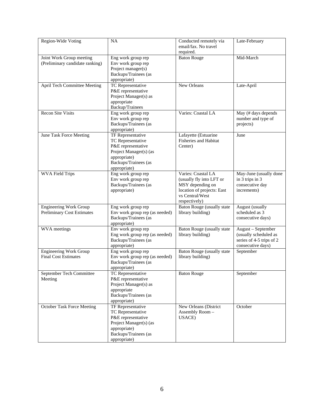| Region-Wide Voting                                                 | NA                                                                                                                                             | Conducted remotely via<br>email/fax. No travel<br>required.                                                                          | Late-February                                                                                |
|--------------------------------------------------------------------|------------------------------------------------------------------------------------------------------------------------------------------------|--------------------------------------------------------------------------------------------------------------------------------------|----------------------------------------------------------------------------------------------|
| Joint Work Group meeting<br>(Preliminary candidate ranking)        | Eng work group rep<br>Env work group rep<br>Project manager(s)<br>Backups/Trainees (as<br>appropriate)                                         | <b>Baton Rouge</b>                                                                                                                   | Mid-March                                                                                    |
| April Tech Committee Meeting                                       | TC Representative<br>P&E representative<br>Project Manager(s) as<br>appropriate<br>Backup/Trainees                                             | New Orleans                                                                                                                          | Late-April                                                                                   |
| <b>Recon Site Visits</b>                                           | Eng work group rep<br>Env work group rep<br>Backups/Trainees (as<br>appropriate)                                                               | Varies: Coastal LA                                                                                                                   | May (# days depends<br>number and type of<br>projects)                                       |
| June Task Force Meeting                                            | TF Representative<br>TC Representative<br>P&E representative<br>Project Manager(s) (as<br>appropriate)<br>Backups/Trainees (as<br>appropriate) | Lafayette (Estuarine<br>Fisheries and Habitat<br>Center)                                                                             | June                                                                                         |
| <b>WVA Field Trips</b>                                             | Eng work group rep<br>Env work group rep<br>Backups/Trainees (as<br>appropriate)                                                               | Varies: Coastal LA<br>(usually fly into LFT or<br>MSY depending on<br>location of projects: East<br>vs Central/West<br>respectively) | May-June (usually done<br>in 3 trips in 3<br>consecutive day<br>increments)                  |
| <b>Engineering Work Group</b><br><b>Preliminary Cost Estimates</b> | Eng work group rep<br>Env work group rep (as needed)<br>Backups/Trainees (as<br>appropriate)                                                   | <b>Baton Rouge (usually state)</b><br>library building)                                                                              | August (usually<br>scheduled as 3<br>consecutive days)                                       |
| WVA meetings                                                       | Env work group rep<br>Eng work group rep (as needed)<br>Backups/Trainees (as<br>appropriate)                                                   | Baton Rouge (usually state<br>library building)                                                                                      | August - September<br>(usually scheduled as<br>series of 4-5 trips of 2<br>consecutive days) |
| <b>Engineering Work Group</b><br><b>Final Cost Estimates</b>       | Eng work group rep<br>Env work group rep (as needed)<br>Backups/Trainees (as<br>appropriate)                                                   | <b>Baton Rouge (usually state</b><br>library building)                                                                               | September                                                                                    |
| September Tech Committee<br>Meeting                                | TC Representative<br>P&E representative<br>Project Manager(s) as<br>appropriate<br>Backups/Trainees (as<br>appropriate)                        | Baton Rouge                                                                                                                          | September                                                                                    |
| <b>October Task Force Meeting</b>                                  | TF Representative<br>TC Representative<br>P&E representative<br>Project Manager(s) (as<br>appropriate)<br>Backups/Trainees (as<br>appropriate) | New Orleans (District<br>Assembly Room-<br>USACE)                                                                                    | October                                                                                      |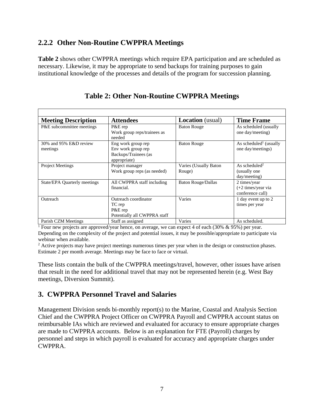#### **2.2.2 Other Non-Routine CWPPRA Meetings**

**Table 2** shows other CWPPRA meetings which require EPA participation and are scheduled as necessary. Likewise, it may be appropriate to send backups for training purposes to gain institutional knowledge of the processes and details of the program for succession planning.

| <b>Meeting Description</b>         | <b>Attendees</b>                                                                 | <b>Location</b> (usual)         | <b>Time Frame</b>                                                  |
|------------------------------------|----------------------------------------------------------------------------------|---------------------------------|--------------------------------------------------------------------|
| P&E subcommittee meetings          | P&E rep<br>Work group reps/trainees as<br>needed                                 | <b>Baton Rouge</b>              | As scheduled (usually<br>one day/meeting)                          |
| 30% and 95% E&D review<br>meetings | Eng work group rep<br>Env work group rep<br>Backups/Trainees (as<br>appropriate) | <b>Baton Rouge</b>              | As scheduled <sup>1</sup> (usually<br>one day/meetings)            |
| <b>Project Meetings</b>            | Project manager<br>Work group reps (as needed)                                   | Varies (Usually Baton<br>Rouge) | As scheduled <sup>2</sup><br>(usually one)<br>day/meeting)         |
| State/EPA Quarterly meetings       | All CWPPRA staff including<br>financial.                                         | <b>Baton Rouge/Dallas</b>       | 2 times/year<br>$(+2 \times y)$ times/year via<br>conference call) |
| Outreach                           | Outreach coordinator<br>TC rep<br>P&E rep<br>Potentially all CWPPRA staff        | Varies                          | 1 day event up to 2<br>times per year                              |
| Parish CZM Meetings                | Staff as assigned                                                                | Varies                          | As scheduled.                                                      |

#### **Table 2: Other Non-Routine CWPPRA Meetings**

Parish CZM Meetings Staff as assigned Varies As scheduled.<br><sup>1</sup> Four new projects are approved/year hence, on average, we can expect 4 of each (30% & 95%) per year. Depending on the complexity of the project and potential issues, it may be possible/appropriate to participate via webinar when available.

<sup>2</sup> Active projects may have project meetings numerous times per year when in the design or construction phases. Estimate 2 per month average. Meetings may be face to face or virtual.

These lists contain the bulk of the CWPPRA meetings/travel, however, other issues have arisen that result in the need for additional travel that may not be represented herein (e.g. West Bay meetings, Diversion Summit).

#### **3. CWPPRA Personnel Travel and Salaries**

Management Division sends bi-monthly report(s) to the Marine, Coastal and Analysis Section Chief and the CWPPRA Project Officer on CWPPRA Payroll and CWPPRA account status on reimbursable IAs which are reviewed and evaluated for accuracy to ensure appropriate charges are made to CWPPRA accounts. Below is an explanation for FTE (Payroll) charges by personnel and steps in which payroll is evaluated for accuracy and appropriate charges under CWPPRA.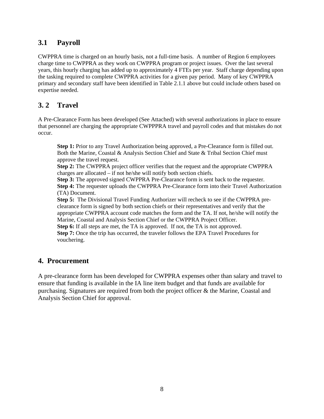#### **3.1 Payroll**

CWPPRA time is charged on an hourly basis, not a full-time basis. A number of Region 6 employees charge time to CWPPRA as they work on CWPPRA program or project issues. Over the last several years, this hourly charging has added up to approximately 4 FTEs per year. Staff charge depending upon the tasking required to complete CWPPRA activities for a given pay period. Many of key CWPPRA primary and secondary staff have been identified in Table 2.1.1 above but could include others based on expertise needed.

#### **3. 2 Travel**

A Pre-Clearance Form has been developed (See Attached) with several authorizations in place to ensure that personnel are charging the appropriate CWPPPRA travel and payroll codes and that mistakes do not occur.

**Step 1:** Prior to any Travel Authorization being approved, a Pre-Clearance form is filled out. Both the Marine, Coastal & Analysis Section Chief and State & Tribal Section Chief must approve the travel request.

**Step 2:** The CWPPRA project officer verifies that the request and the appropriate CWPPRA charges are allocated – if not he/she will notify both section chiefs.

**Step 3:** The approved signed CWPPRA Pre-Clearance form is sent back to the requester. **Step 4:** The requester uploads the CWPPRA Pre-Clearance form into their Travel Authorization (TA) Document.

**Step 5:** The Divisional Travel Funding Authorizer will recheck to see if the CWPPRA preclearance form is signed by both section chiefs or their representatives and verify that the appropriate CWPPRA account code matches the form and the TA. If not, he/she will notify the Marine, Coastal and Analysis Section Chief or the CWPPRA Project Officer.

**Step 6:** If all steps are met, the TA is approved. If not, the TA is not approved. **Step 7:** Once the trip has occurred, the traveler follows the EPA Travel Procedures for vouchering.

#### **4. Procurement**

A pre-clearance form has been developed for CWPPRA expenses other than salary and travel to ensure that funding is available in the IA line item budget and that funds are available for purchasing. Signatures are required from both the project officer & the Marine, Coastal and Analysis Section Chief for approval.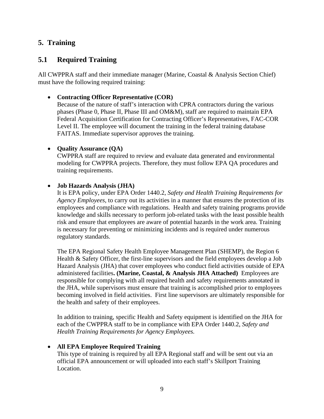#### **5. Training**

#### **5.1 Required Training**

All CWPPRA staff and their immediate manager (Marine, Coastal & Analysis Section Chief) must have the following required training:

#### **Contracting Officer Representative (COR)**

Because of the nature of staff's interaction with CPRA contractors during the various phases (Phase 0, Phase II, Phase III and OM&M), staff are required to maintain EPA Federal Acquisition Certification for Contracting Officer's Representatives, FAC-COR Level II. The employee will document the training in the federal training database FAITAS. Immediate supervisor approves the training.

#### • **Quality Assurance (QA)**

CWPPRA staff are required to review and evaluate data generated and environmental modeling for CWPPRA projects. Therefore, they must follow EPA QA procedures and training requirements.

#### **Job Hazards Analysis (JHA)**

It is EPA policy, under EPA Order 1440.2, *Safety and Health Training Requirements for Agency Employees,* to carry out its activities in a manner that ensures the protection of its employees and compliance with regulations. Health and safety training programs provide knowledge and skills necessary to perform job-related tasks with the least possible health risk and ensure that employees are aware of potential hazards in the work area. Training is necessary for preventing or minimizing incidents and is required under numerous regulatory standards.

The EPA Regional Safety Health Employee Management Plan (SHEMP), the Region 6 Health & Safety Officer, the first-line supervisors and the field employees develop a Job Hazard Analysis (JHA) that cover employees who conduct field activities outside of EPA administered facilities**. (Marine, Coastal, & Analysis JHA Attached)** Employees are responsible for complying with all required health and safety requirements annotated in the JHA, while supervisors must ensure that training is accomplished prior to employees becoming involved in field activities. First line supervisors are ultimately responsible for the health and safety of their employees.

In addition to training, specific Health and Safety equipment is identified on the JHA for each of the CWPPRA staff to be in compliance with EPA Order 1440.2, *Safety and Health Training Requirements for Agency Employees.* 

#### **All EPA Employee Required Training**

This type of training is required by all EPA Regional staff and will be sent out via an official EPA announcement or will uploaded into each staff's Skillport Training Location.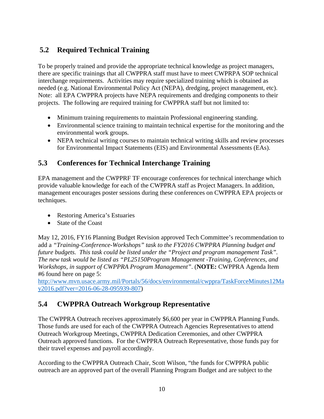## **5.2 Required Technical Training**

To be properly trained and provide the appropriate technical knowledge as project managers, there are specific trainings that all CWPPRA staff must have to meet CWPRPA SOP technical interchange requirements. Activities may require specialized training which is obtained as needed (e.g. National Environmental Policy Act (NEPA), dredging, project management, etc). Note: all EPA CWPPRA projects have NEPA requirements and dredging components to their projects. The following are required training for CWPPRA staff but not limited to:

- Minimum training requirements to maintain Professional engineering standing.
- Environmental science training to maintain technical expertise for the monitoring and the environmental work groups.
- NEPA technical writing courses to maintain technical writing skills and review processes for Environmental Impact Statements (EIS) and Environmental Assessments (EAs).

#### **5.3 Conferences for Technical Interchange Training**

EPA management and the CWPPRF TF encourage conferences for technical interchange which provide valuable knowledge for each of the CWPPRA staff as Project Managers. In addition, management encourages poster sessions during these conferences on CWPPRA EPA projects or techniques.

- Restoring America's Estuaries
- State of the Coast

May 12, 2016, FY16 Planning Budget Revision approved Tech Committee's recommendation to add a *"Training-Conference-Workshops" task to the FY2016 CWPPRA Planning budget and future budgets. This task could be listed under the "Project and program management Task". The new task would be listed as "PL25150Program Management -Training, Conferences, and Workshops, in support of CWPPRA Program Management"*. (**NOTE:** CWPPRA Agenda Item #6 found here on page 5:

http://www.mvn.usace.army.mil/Portals/56/docs/environmental/cwppra/TaskForceMinutes12Ma y2016.pdf?ver=2016-06-28-095939-807)

### **5.4 CWPPRA Outreach Workgroup Representative**

The CWPPRA Outreach receives approximately \$6,600 per year in CWPPRA Planning Funds. Those funds are used for each of the CWPPRA Outreach Agencies Representatives to attend Outreach Workgroup Meetings, CWPPRA Dedication Ceremonies, and other CWPPRA Outreach approved functions. For the CWPPRA Outreach Representative, those funds pay for their travel expenses and payroll accordingly.

According to the CWPPRA Outreach Chair, Scott Wilson, "the funds for CWPPRA public outreach are an approved part of the overall Planning Program Budget and are subject to the